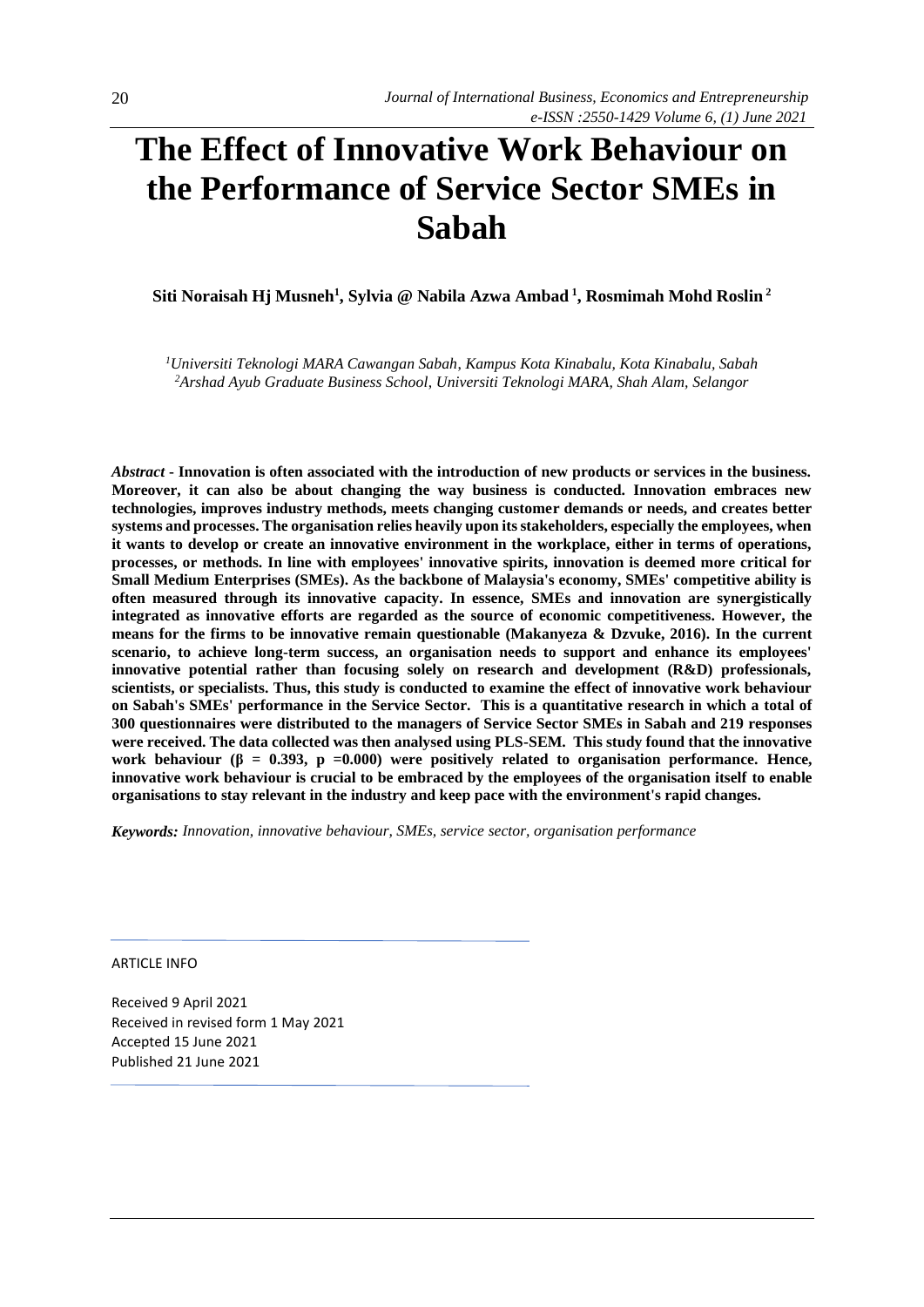# **The Effect of Innovative Work Behaviour on the Performance of Service Sector SMEs in Sabah**

**Siti Noraisah Hj Musneh<sup>1</sup> , Sylvia @ Nabila Azwa Ambad <sup>1</sup> , Rosmimah Mohd Roslin <sup>2</sup>**

*<sup>1</sup>Universiti Teknologi MARA Cawangan Sabah*, *Kampus Kota Kinabalu, Kota Kinabalu, Sabah <sup>2</sup>Arshad Ayub Graduate Business School*, *Universiti Teknologi MARA, Shah Alam, Selangor*

*Abstract* **- Innovation is often associated with the introduction of new products or services in the business. Moreover, it can also be about changing the way business is conducted. Innovation embraces new technologies, improves industry methods, meets changing customer demands or needs, and creates better systems and processes. The organisation relies heavily upon its stakeholders, especially the employees, when it wants to develop or create an innovative environment in the workplace, either in terms of operations, processes, or methods. In line with employees' innovative spirits, innovation is deemed more critical for Small Medium Enterprises (SMEs). As the backbone of Malaysia's economy, SMEs' competitive ability is often measured through its innovative capacity. In essence, SMEs and innovation are synergistically integrated as innovative efforts are regarded as the source of economic competitiveness. However, the means for the firms to be innovative remain questionable (Makanyeza & Dzvuke, 2016). In the current scenario, to achieve long-term success, an organisation needs to support and enhance its employees' innovative potential rather than focusing solely on research and development (R&D) professionals, scientists, or specialists. Thus, this study is conducted to examine the effect of innovative work behaviour on Sabah's SMEs' performance in the Service Sector. This is a quantitative research in which a total of 300 questionnaires were distributed to the managers of Service Sector SMEs in Sabah and 219 responses were received. The data collected was then analysed using PLS-SEM. This study found that the innovative work behaviour (β = 0.393, p =0.000) were positively related to organisation performance. Hence, innovative work behaviour is crucial to be embraced by the employees of the organisation itself to enable organisations to stay relevant in the industry and keep pace with the environment's rapid changes.**

*Keywords: Innovation, innovative behaviour, SMEs, service sector, organisation performance*

ARTICLE INFO

Received 9 April 2021 Received in revised form 1 May 2021 Accepted 15 June 2021 Published 21 June 2021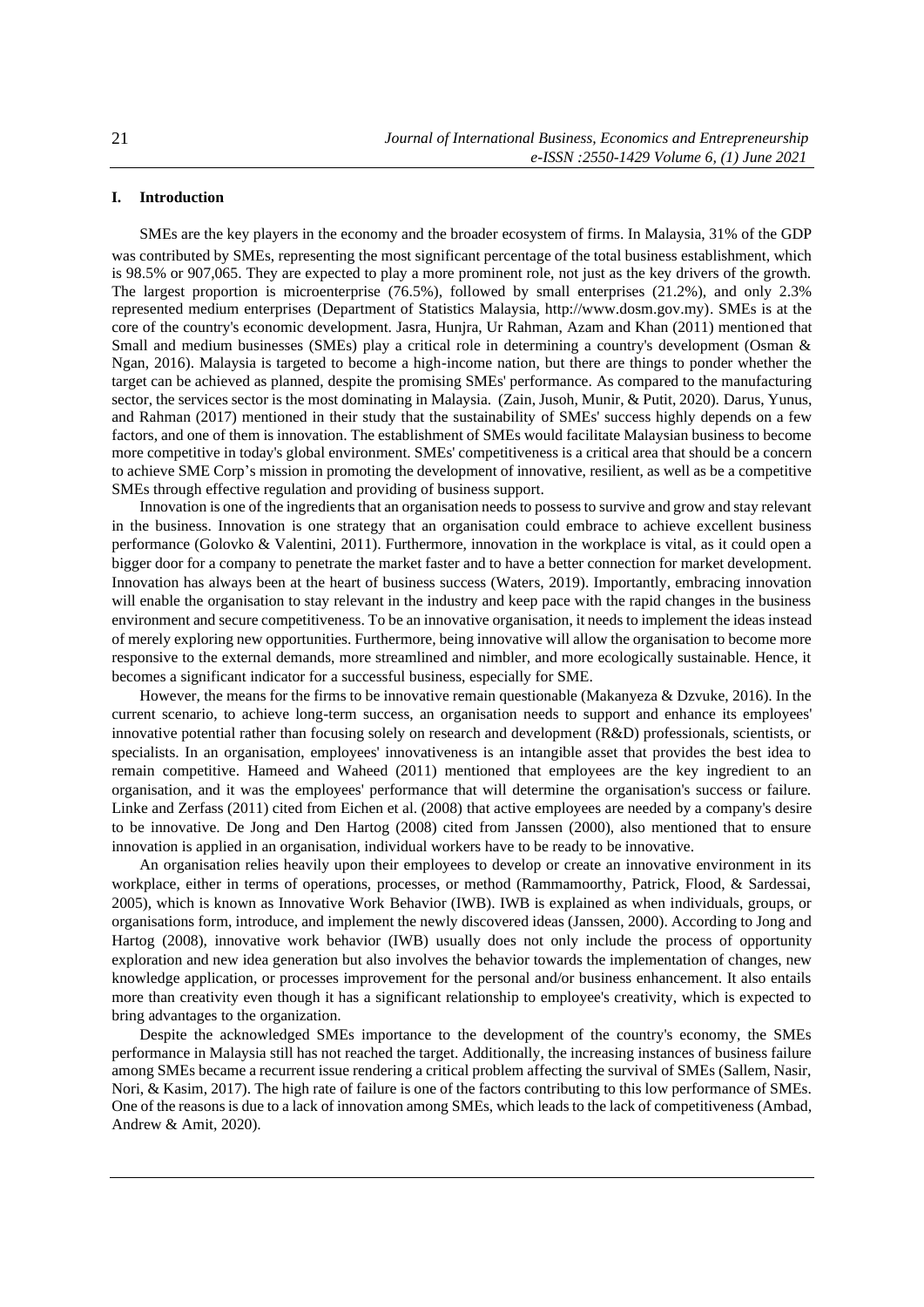# **I. Introduction**

SMEs are the key players in the economy and the broader ecosystem of firms. In Malaysia, 31% of the GDP was contributed by SMEs, representing the most significant percentage of the total business establishment, which is 98.5% or 907,065. They are expected to play a more prominent role, not just as the key drivers of the growth. The largest proportion is microenterprise (76.5%), followed by small enterprises (21.2%), and only 2.3% represented medium enterprises (Department of Statistics Malaysia, http://www.dosm.gov.my). SMEs is at the core of the country's economic development. Jasra, Hunjra, Ur Rahman, Azam and Khan (2011) mentioned that Small and medium businesses (SMEs) play a critical role in determining a country's development (Osman & Ngan, 2016). Malaysia is targeted to become a high-income nation, but there are things to ponder whether the target can be achieved as planned, despite the promising SMEs' performance. As compared to the manufacturing sector, the services sector is the most dominating in Malaysia. (Zain, Jusoh, Munir, & Putit, 2020). Darus, Yunus, and Rahman (2017) mentioned in their study that the sustainability of SMEs' success highly depends on a few factors, and one of them is innovation. The establishment of SMEs would facilitate Malaysian business to become more competitive in today's global environment. SMEs' competitiveness is a critical area that should be a concern to achieve SME Corp's mission in promoting the development of innovative, resilient, as well as be a competitive SMEs through effective regulation and providing of business support.

Innovation is one of the ingredients that an organisation needs to possess to survive and grow and stay relevant in the business. Innovation is one strategy that an organisation could embrace to achieve excellent business performance (Golovko & Valentini, 2011). Furthermore, innovation in the workplace is vital, as it could open a bigger door for a company to penetrate the market faster and to have a better connection for market development. Innovation has always been at the heart of business success (Waters, 2019). Importantly, embracing innovation will enable the organisation to stay relevant in the industry and keep pace with the rapid changes in the business environment and secure competitiveness. To be an innovative organisation, it needs to implement the ideas instead of merely exploring new opportunities. Furthermore, being innovative will allow the organisation to become more responsive to the external demands, more streamlined and nimbler, and more ecologically sustainable. Hence, it becomes a significant indicator for a successful business, especially for SME.

However, the means for the firms to be innovative remain questionable (Makanyeza & Dzvuke, 2016). In the current scenario, to achieve long-term success, an organisation needs to support and enhance its employees' innovative potential rather than focusing solely on research and development (R&D) professionals, scientists, or specialists. In an organisation, employees' innovativeness is an intangible asset that provides the best idea to remain competitive. Hameed and Waheed (2011) mentioned that employees are the key ingredient to an organisation, and it was the employees' performance that will determine the organisation's success or failure. Linke and Zerfass (2011) cited from Eichen et al. (2008) that active employees are needed by a company's desire to be innovative. De Jong and Den Hartog (2008) cited from Janssen (2000), also mentioned that to ensure innovation is applied in an organisation, individual workers have to be ready to be innovative.

An organisation relies heavily upon their employees to develop or create an innovative environment in its workplace, either in terms of operations, processes, or method (Rammamoorthy, Patrick, Flood, & Sardessai, 2005), which is known as Innovative Work Behavior (IWB). IWB is explained as when individuals, groups, or organisations form, introduce, and implement the newly discovered ideas (Janssen, 2000). According to Jong and Hartog (2008), innovative work behavior (IWB) usually does not only include the process of opportunity exploration and new idea generation but also involves the behavior towards the implementation of changes, new knowledge application, or processes improvement for the personal and/or business enhancement. It also entails more than creativity even though it has a significant relationship to employee's creativity, which is expected to bring advantages to the organization.

Despite the acknowledged SMEs importance to the development of the country's economy, the SMEs performance in Malaysia still has not reached the target. Additionally, the increasing instances of business failure among SMEs became a recurrent issue rendering a critical problem affecting the survival of SMEs (Sallem, Nasir, Nori, & Kasim, 2017). The high rate of failure is one of the factors contributing to this low performance of SMEs. One of the reasons is due to a lack of innovation among SMEs, which leads to the lack of competitiveness (Ambad, Andrew & Amit, 2020).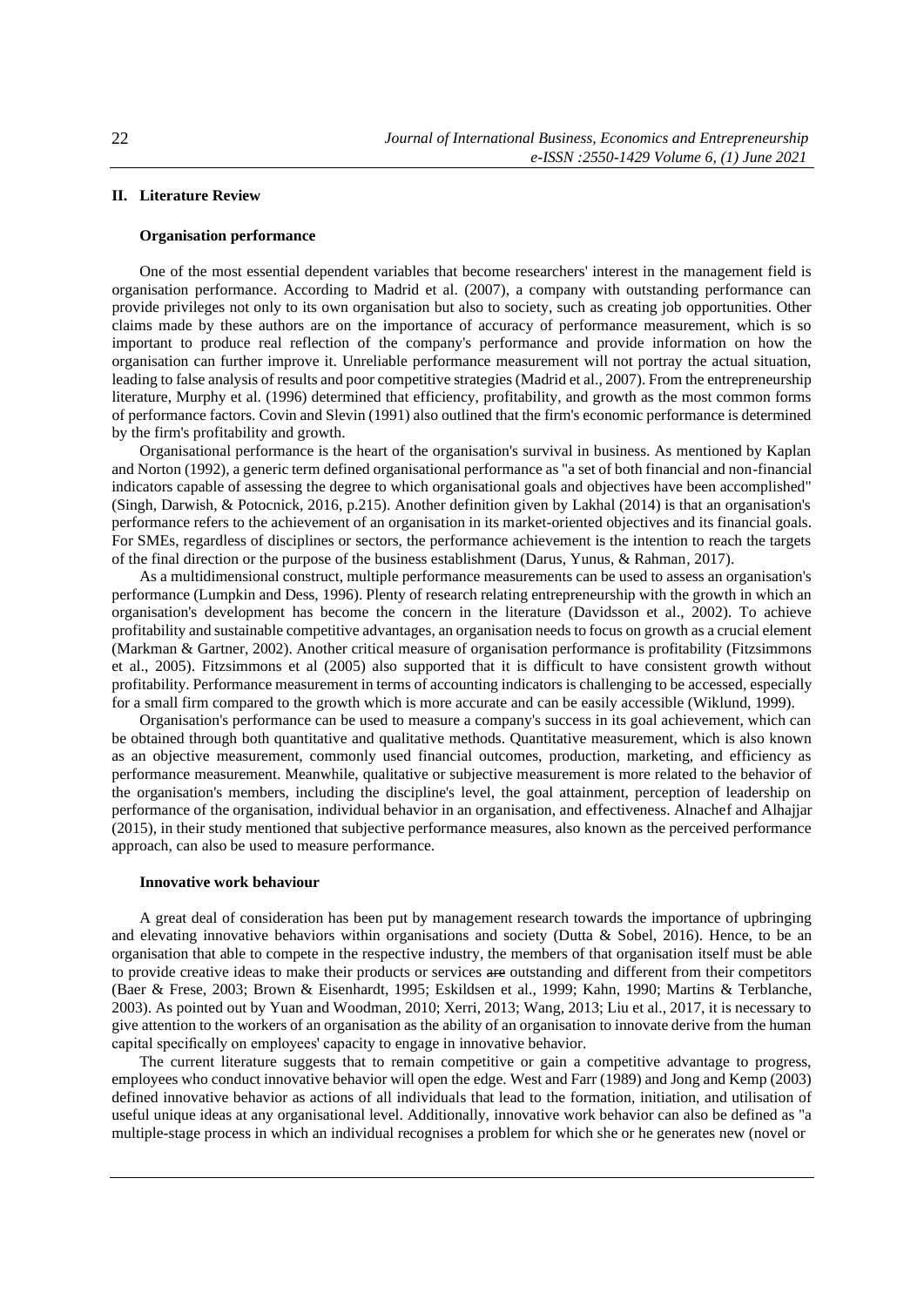# **II. Literature Review**

# **Organisation performance**

One of the most essential dependent variables that become researchers' interest in the management field is organisation performance. According to Madrid et al. (2007), a company with outstanding performance can provide privileges not only to its own organisation but also to society, such as creating job opportunities. Other claims made by these authors are on the importance of accuracy of performance measurement, which is so important to produce real reflection of the company's performance and provide information on how the organisation can further improve it. Unreliable performance measurement will not portray the actual situation, leading to false analysis of results and poor competitive strategies (Madrid et al., 2007). From the entrepreneurship literature, Murphy et al. (1996) determined that efficiency, profitability, and growth as the most common forms of performance factors. Covin and Slevin (1991) also outlined that the firm's economic performance is determined by the firm's profitability and growth.

Organisational performance is the heart of the organisation's survival in business. As mentioned by Kaplan and Norton (1992), a generic term defined organisational performance as "a set of both financial and non-financial indicators capable of assessing the degree to which organisational goals and objectives have been accomplished" (Singh, Darwish, & Potocnick, 2016, p.215). Another definition given by Lakhal (2014) is that an organisation's performance refers to the achievement of an organisation in its market-oriented objectives and its financial goals. For SMEs, regardless of disciplines or sectors, the performance achievement is the intention to reach the targets of the final direction or the purpose of the business establishment (Darus, Yunus, & Rahman, 2017).

As a multidimensional construct, multiple performance measurements can be used to assess an organisation's performance (Lumpkin and Dess, 1996). Plenty of research relating entrepreneurship with the growth in which an organisation's development has become the concern in the literature (Davidsson et al., 2002). To achieve profitability and sustainable competitive advantages, an organisation needs to focus on growth as a crucial element (Markman & Gartner, 2002). Another critical measure of organisation performance is profitability (Fitzsimmons et al., 2005). Fitzsimmons et al (2005) also supported that it is difficult to have consistent growth without profitability. Performance measurement in terms of accounting indicators is challenging to be accessed, especially for a small firm compared to the growth which is more accurate and can be easily accessible (Wiklund, 1999).

Organisation's performance can be used to measure a company's success in its goal achievement, which can be obtained through both quantitative and qualitative methods. Quantitative measurement, which is also known as an objective measurement, commonly used financial outcomes, production, marketing, and efficiency as performance measurement. Meanwhile, qualitative or subjective measurement is more related to the behavior of the organisation's members, including the discipline's level, the goal attainment, perception of leadership on performance of the organisation, individual behavior in an organisation, and effectiveness. Alnachef and Alhajjar (2015), in their study mentioned that subjective performance measures, also known as the perceived performance approach, can also be used to measure performance.

# **Innovative work behaviour**

A great deal of consideration has been put by management research towards the importance of upbringing and elevating innovative behaviors within organisations and society (Dutta & Sobel, 2016). Hence, to be an organisation that able to compete in the respective industry, the members of that organisation itself must be able to provide creative ideas to make their products or services are outstanding and different from their competitors (Baer & Frese, 2003; Brown & Eisenhardt, 1995; Eskildsen et al., 1999; Kahn, 1990; Martins & Terblanche, 2003). As pointed out by Yuan and Woodman, 2010; Xerri, 2013; Wang, 2013; Liu et al., 2017, it is necessary to give attention to the workers of an organisation as the ability of an organisation to innovate derive from the human capital specifically on employees' capacity to engage in innovative behavior.

The current literature suggests that to remain competitive or gain a competitive advantage to progress, employees who conduct innovative behavior will open the edge. West and Farr (1989) and Jong and Kemp (2003) defined innovative behavior as actions of all individuals that lead to the formation, initiation, and utilisation of useful unique ideas at any organisational level. Additionally, innovative work behavior can also be defined as "a multiple-stage process in which an individual recognises a problem for which she or he generates new (novel or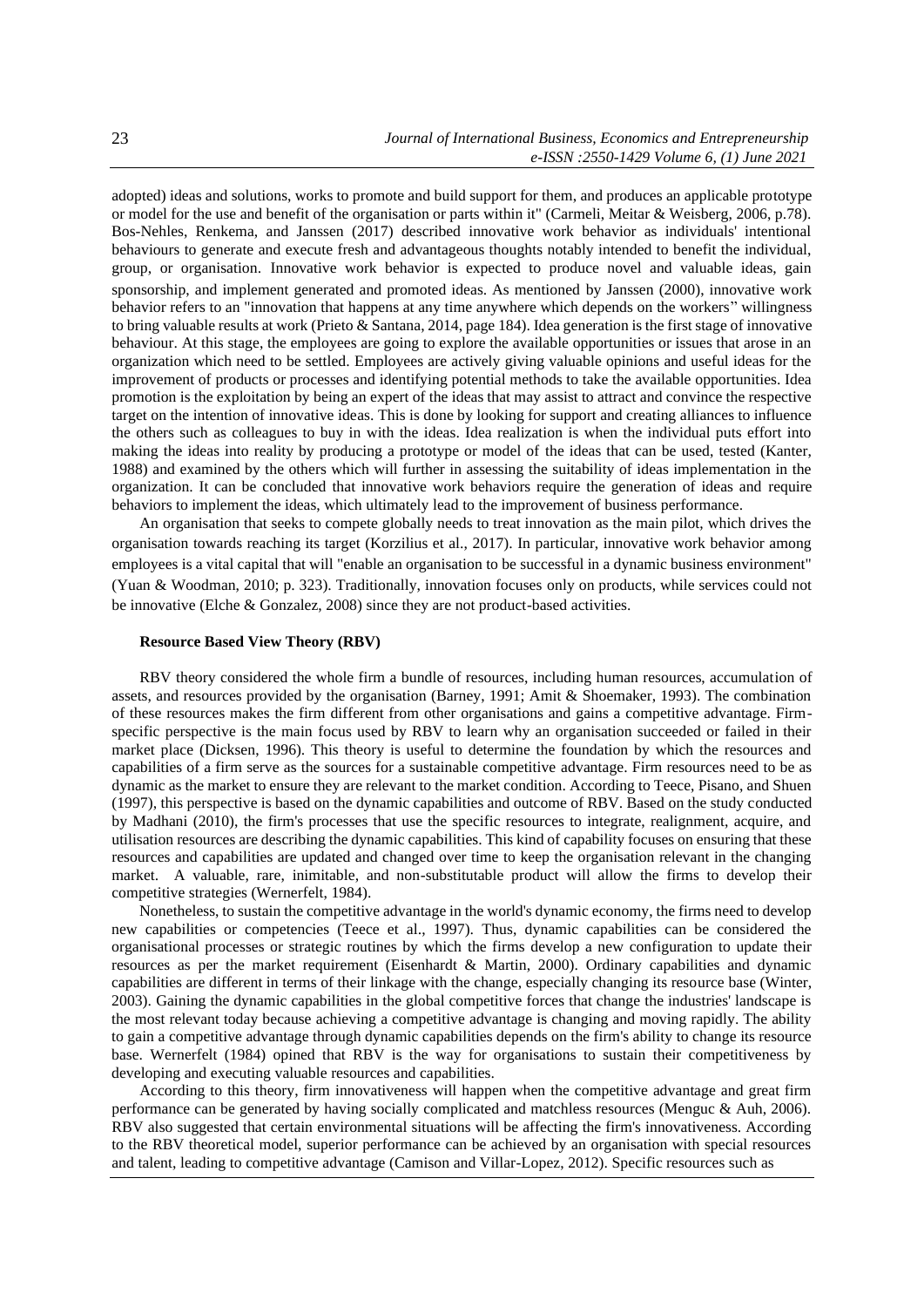adopted) ideas and solutions, works to promote and build support for them, and produces an applicable prototype or model for the use and benefit of the organisation or parts within it" (Carmeli, Meitar & Weisberg, 2006, p.78). Bos-Nehles, Renkema, and Janssen (2017) described innovative work behavior as individuals' intentional behaviours to generate and execute fresh and advantageous thoughts notably intended to benefit the individual, group, or organisation. Innovative work behavior is expected to produce novel and valuable ideas, gain sponsorship, and implement generated and promoted ideas. As mentioned by Janssen (2000), innovative work behavior refers to an "innovation that happens at any time anywhere which depends on the workers" willingness to bring valuable results at work (Prieto & Santana, 2014, page 184). Idea generation is the first stage of innovative behaviour. At this stage, the employees are going to explore the available opportunities or issues that arose in an organization which need to be settled. Employees are actively giving valuable opinions and useful ideas for the improvement of products or processes and identifying potential methods to take the available opportunities. Idea promotion is the exploitation by being an expert of the ideas that may assist to attract and convince the respective target on the intention of innovative ideas. This is done by looking for support and creating alliances to influence the others such as colleagues to buy in with the ideas. Idea realization is when the individual puts effort into making the ideas into reality by producing a prototype or model of the ideas that can be used, tested (Kanter, 1988) and examined by the others which will further in assessing the suitability of ideas implementation in the organization. It can be concluded that innovative work behaviors require the generation of ideas and require behaviors to implement the ideas, which ultimately lead to the improvement of business performance.

An organisation that seeks to compete globally needs to treat innovation as the main pilot, which drives the organisation towards reaching its target (Korzilius et al., 2017). In particular, innovative work behavior among employees is a vital capital that will "enable an organisation to be successful in a dynamic business environment" (Yuan & Woodman, 2010; p. 323). Traditionally, innovation focuses only on products, while services could not be innovative (Elche & Gonzalez, 2008) since they are not product-based activities.

## **Resource Based View Theory (RBV)**

RBV theory considered the whole firm a bundle of resources, including human resources, accumulation of assets, and resources provided by the organisation (Barney, 1991; Amit & Shoemaker, 1993). The combination of these resources makes the firm different from other organisations and gains a competitive advantage. Firmspecific perspective is the main focus used by RBV to learn why an organisation succeeded or failed in their market place (Dicksen, 1996). This theory is useful to determine the foundation by which the resources and capabilities of a firm serve as the sources for a sustainable competitive advantage. Firm resources need to be as dynamic as the market to ensure they are relevant to the market condition. According to Teece, Pisano, and Shuen (1997), this perspective is based on the dynamic capabilities and outcome of RBV. Based on the study conducted by Madhani (2010), the firm's processes that use the specific resources to integrate, realignment, acquire, and utilisation resources are describing the dynamic capabilities. This kind of capability focuses on ensuring that these resources and capabilities are updated and changed over time to keep the organisation relevant in the changing market. A valuable, rare, inimitable, and non-substitutable product will allow the firms to develop their competitive strategies (Wernerfelt, 1984).

Nonetheless, to sustain the competitive advantage in the world's dynamic economy, the firms need to develop new capabilities or competencies (Teece et al., 1997). Thus, dynamic capabilities can be considered the organisational processes or strategic routines by which the firms develop a new configuration to update their resources as per the market requirement (Eisenhardt & Martin, 2000). Ordinary capabilities and dynamic capabilities are different in terms of their linkage with the change, especially changing its resource base (Winter, 2003). Gaining the dynamic capabilities in the global competitive forces that change the industries' landscape is the most relevant today because achieving a competitive advantage is changing and moving rapidly. The ability to gain a competitive advantage through dynamic capabilities depends on the firm's ability to change its resource base. Wernerfelt (1984) opined that RBV is the way for organisations to sustain their competitiveness by developing and executing valuable resources and capabilities.

According to this theory, firm innovativeness will happen when the competitive advantage and great firm performance can be generated by having socially complicated and matchless resources (Menguc & Auh, 2006). RBV also suggested that certain environmental situations will be affecting the firm's innovativeness. According to the RBV theoretical model, superior performance can be achieved by an organisation with special resources and talent, leading to competitive advantage (Camison and Villar-Lopez, 2012). Specific resources such as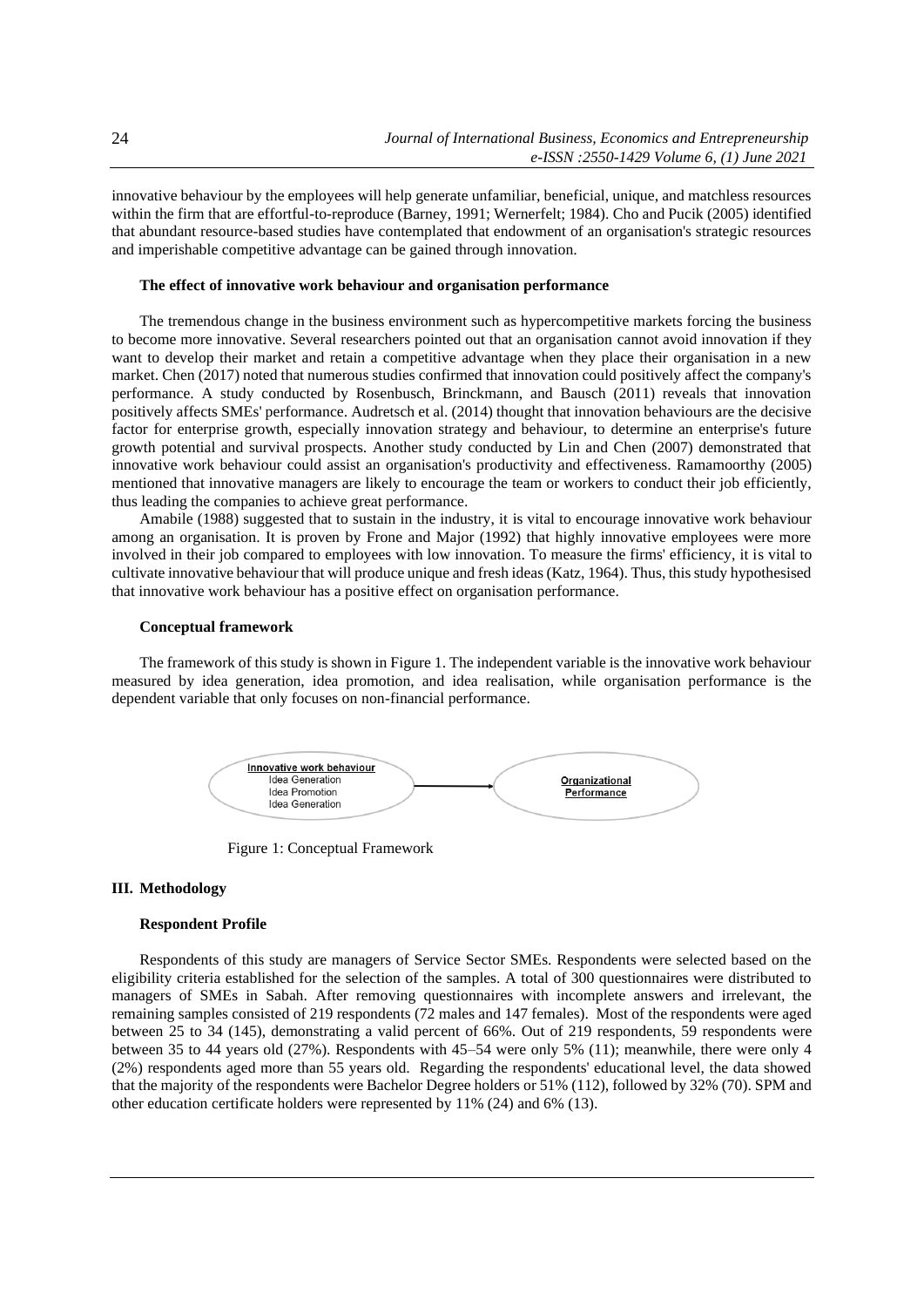innovative behaviour by the employees will help generate unfamiliar, beneficial, unique, and matchless resources within the firm that are effortful-to-reproduce (Barney, 1991; Wernerfelt; 1984). Cho and Pucik (2005) identified that abundant resource-based studies have contemplated that endowment of an organisation's strategic resources and imperishable competitive advantage can be gained through innovation.

#### **The effect of innovative work behaviour and organisation performance**

The tremendous change in the business environment such as hypercompetitive markets forcing the business to become more innovative. Several researchers pointed out that an organisation cannot avoid innovation if they want to develop their market and retain a competitive advantage when they place their organisation in a new market. Chen (2017) noted that numerous studies confirmed that innovation could positively affect the company's performance. A study conducted by Rosenbusch, Brinckmann, and Bausch (2011) reveals that innovation positively affects SMEs' performance. Audretsch et al. (2014) thought that innovation behaviours are the decisive factor for enterprise growth, especially innovation strategy and behaviour, to determine an enterprise's future growth potential and survival prospects. Another study conducted by Lin and Chen (2007) demonstrated that innovative work behaviour could assist an organisation's productivity and effectiveness. Ramamoorthy (2005) mentioned that innovative managers are likely to encourage the team or workers to conduct their job efficiently, thus leading the companies to achieve great performance.

Amabile (1988) suggested that to sustain in the industry, it is vital to encourage innovative work behaviour among an organisation. It is proven by Frone and Major (1992) that highly innovative employees were more involved in their job compared to employees with low innovation. To measure the firms' efficiency, it is vital to cultivate innovative behaviour that will produce unique and fresh ideas (Katz, 1964). Thus, this study hypothesised that innovative work behaviour has a positive effect on organisation performance.

#### **Conceptual framework**

The framework of this study is shown in Figure 1. The independent variable is the innovative work behaviour measured by idea generation, idea promotion, and idea realisation, while organisation performance is the dependent variable that only focuses on non-financial performance.



Figure 1: Conceptual Framework

#### **III. Methodology**

## **Respondent Profile**

Respondents of this study are managers of Service Sector SMEs. Respondents were selected based on the eligibility criteria established for the selection of the samples. A total of 300 questionnaires were distributed to managers of SMEs in Sabah. After removing questionnaires with incomplete answers and irrelevant, the remaining samples consisted of 219 respondents (72 males and 147 females). Most of the respondents were aged between 25 to 34 (145), demonstrating a valid percent of 66%. Out of 219 respondents, 59 respondents were between 35 to 44 years old (27%). Respondents with 45–54 were only 5% (11); meanwhile, there were only 4 (2%) respondents aged more than 55 years old. Regarding the respondents' educational level, the data showed that the majority of the respondents were Bachelor Degree holders or 51% (112), followed by 32% (70). SPM and other education certificate holders were represented by 11% (24) and 6% (13).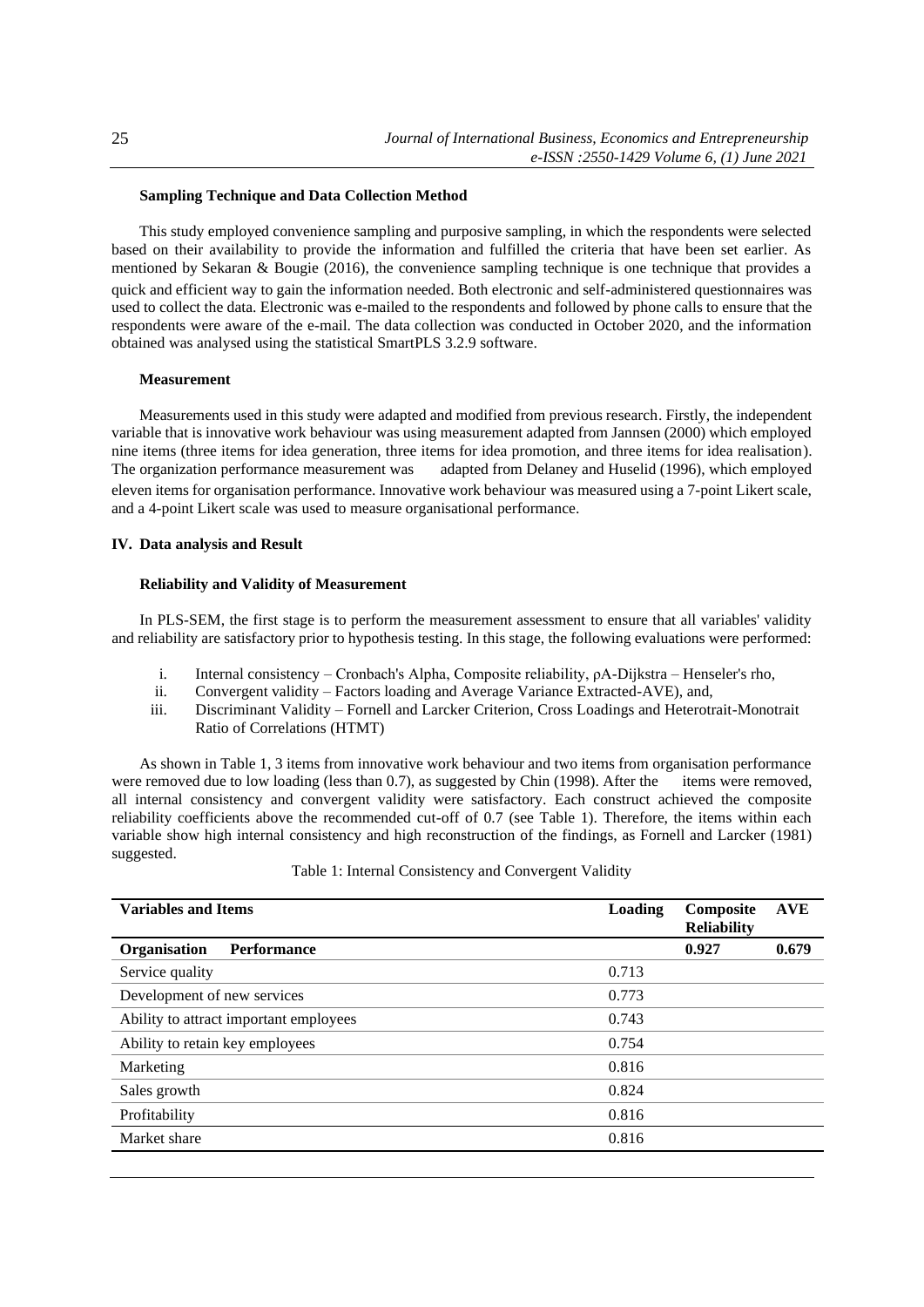## **Sampling Technique and Data Collection Method**

This study employed convenience sampling and purposive sampling, in which the respondents were selected based on their availability to provide the information and fulfilled the criteria that have been set earlier. As mentioned by Sekaran & Bougie (2016), the convenience sampling technique is one technique that provides a quick and efficient way to gain the information needed. Both electronic and self-administered questionnaires was used to collect the data. Electronic was e-mailed to the respondents and followed by phone calls to ensure that the respondents were aware of the e-mail. The data collection was conducted in October 2020, and the information obtained was analysed using the statistical SmartPLS 3.2.9 software.

#### **Measurement**

Measurements used in this study were adapted and modified from previous research. Firstly, the independent variable that is innovative work behaviour was using measurement adapted from Jannsen (2000) which employed nine items (three items for idea generation, three items for idea promotion, and three items for idea realisation).<br>The organization performance measurement was adapted from Delaney and Huselid (1996), which employed adapted from Delaney and Huselid (1996), which employed eleven items for organisation performance. Innovative work behaviour was measured using a 7-point Likert scale, and a 4-point Likert scale was used to measure organisational performance.

#### **IV. Data analysis and Result**

## **Reliability and Validity of Measurement**

In PLS-SEM, the first stage is to perform the measurement assessment to ensure that all variables' validity and reliability are satisfactory prior to hypothesis testing. In this stage, the following evaluations were performed:

- i. Internal consistency Cronbach's Alpha, Composite reliability, ρA-Dijkstra Henseler's rho,
- ii. Convergent validity Factors loading and Average Variance Extracted-AVE), and,
- iii. Discriminant Validity Fornell and Larcker Criterion, Cross Loadings and Heterotrait-Monotrait Ratio of Correlations (HTMT)

As shown in Table 1, 3 items from innovative work behaviour and two items from organisation performance were removed due to low loading (less than 0.7), as suggested by Chin (1998). After the items were removed, all internal consistency and convergent validity were satisfactory. Each construct achieved the composite reliability coefficients above the recommended cut-off of 0.7 (see Table 1). Therefore, the items within each variable show high internal consistency and high reconstruction of the findings, as Fornell and Larcker (1981) suggested.

| <b>Variables and Items</b>             | Loading | Composite<br><b>Reliability</b> | <b>AVE</b> |
|----------------------------------------|---------|---------------------------------|------------|
| Performance<br>Organisation            |         | 0.927                           | 0.679      |
| Service quality                        | 0.713   |                                 |            |
| Development of new services            | 0.773   |                                 |            |
| Ability to attract important employees | 0.743   |                                 |            |
| Ability to retain key employees        | 0.754   |                                 |            |
| Marketing                              | 0.816   |                                 |            |
| Sales growth                           | 0.824   |                                 |            |
| Profitability                          | 0.816   |                                 |            |
| Market share                           | 0.816   |                                 |            |
|                                        |         |                                 |            |

Table 1: Internal Consistency and Convergent Validity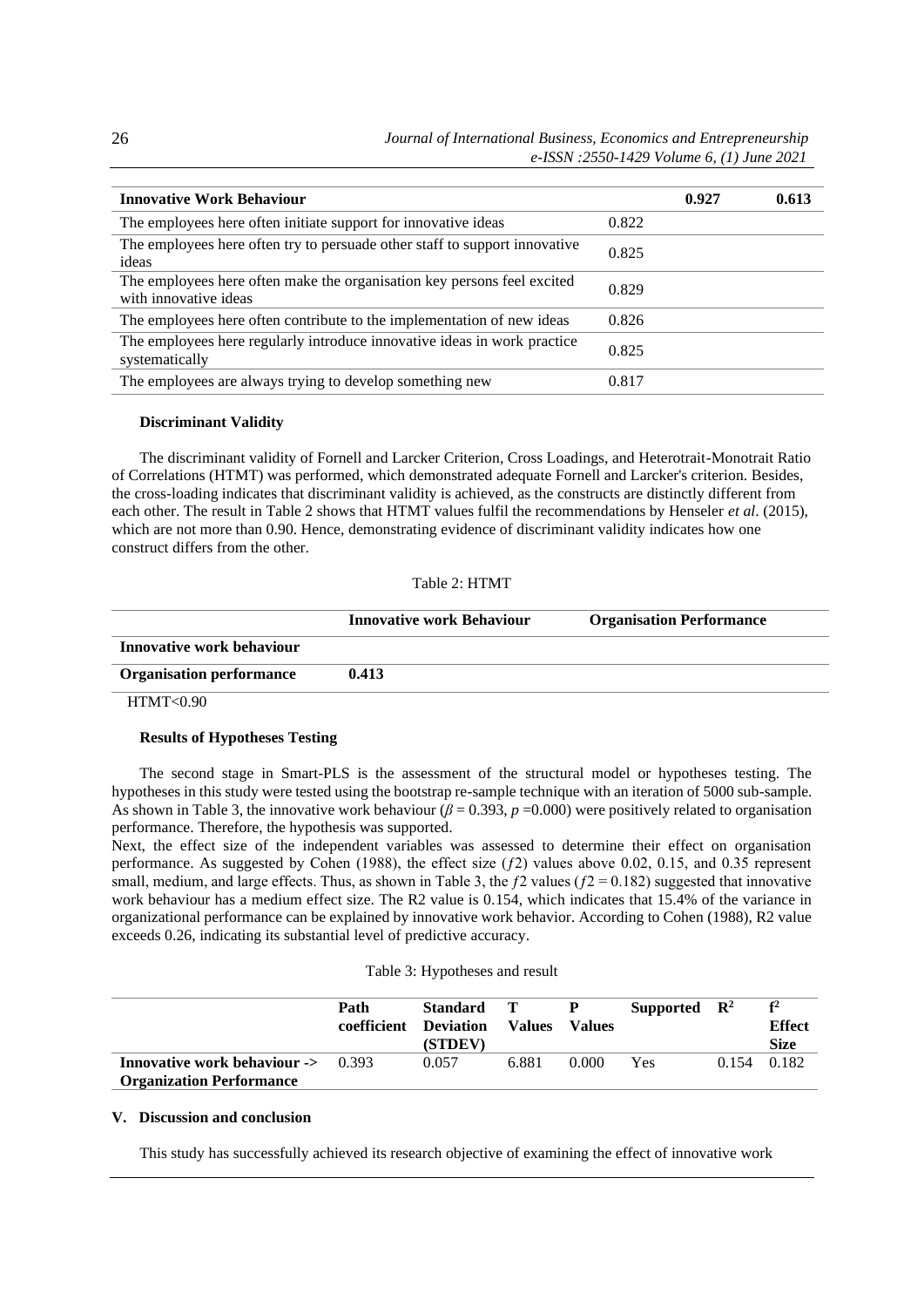| <b>Innovative Work Behaviour</b>                                                                 |       | 0.927 | 0.613 |
|--------------------------------------------------------------------------------------------------|-------|-------|-------|
| The employees here often initiate support for innovative ideas                                   | 0.822 |       |       |
| The employees here often try to persuade other staff to support innovative<br>ideas              | 0.825 |       |       |
| The employees here often make the organisation key persons feel excited<br>with innovative ideas | 0.829 |       |       |
| The employees here often contribute to the implementation of new ideas                           | 0.826 |       |       |
| The employees here regularly introduce innovative ideas in work practice<br>systematically       | 0.825 |       |       |
| The employees are always trying to develop something new                                         | 0.817 |       |       |

#### **Discriminant Validity**

The discriminant validity of Fornell and Larcker Criterion, Cross Loadings, and Heterotrait-Monotrait Ratio of Correlations (HTMT) was performed, which demonstrated adequate Fornell and Larcker's criterion. Besides, the cross-loading indicates that discriminant validity is achieved, as the constructs are distinctly different from each other. The result in Table 2 shows that HTMT values fulfil the recommendations by Henseler *et al*. (2015), which are not more than 0.90. Hence, demonstrating evidence of discriminant validity indicates how one construct differs from the other.

## Table 2: HTMT

|                                        | <b>Innovative work Behaviour</b> | <b>Organisation Performance</b> |
|----------------------------------------|----------------------------------|---------------------------------|
| Innovative work behaviour              |                                  |                                 |
| <b>Organisation performance</b>        | 0.413                            |                                 |
| $TTTHM$ $T$ $\wedge$ $\wedge$ $\wedge$ |                                  |                                 |

HTMT<0.90

# **Results of Hypotheses Testing**

The second stage in Smart-PLS is the assessment of the structural model or hypotheses testing. The hypotheses in this study were tested using the bootstrap re-sample technique with an iteration of 5000 sub-sample. As shown in Table 3, the innovative work behaviour  $(\beta = 0.393, p = 0.000)$  were positively related to organisation performance. Therefore, the hypothesis was supported.

Next, the effect size of the independent variables was assessed to determine their effect on organisation performance. As suggested by Cohen (1988), the effect size  $(f2)$  values above 0.02, 0.15, and 0.35 represent small, medium, and large effects. Thus, as shown in Table 3, the  $f2$  values ( $f2 = 0.182$ ) suggested that innovative work behaviour has a medium effect size. The R2 value is 0.154, which indicates that 15.4% of the variance in organizational performance can be explained by innovative work behavior. According to Cohen (1988), R2 value exceeds 0.26, indicating its substantial level of predictive accuracy.

#### Table 3: Hypotheses and result

|                                                                                 | Path<br>coefficient Deviation | <b>Standard</b><br>(STDEV) | <b>Values</b> | <b>Values</b> | Supported $\mathbb{R}^2$ |       | f <sup>2</sup><br><b>Effect</b><br><b>Size</b> |
|---------------------------------------------------------------------------------|-------------------------------|----------------------------|---------------|---------------|--------------------------|-------|------------------------------------------------|
| <b>Innovative work behaviour -&gt;</b> 0.393<br><b>Organization Performance</b> |                               | 0.057                      | 6.881         | 0.000         | Yes                      | 0.154 | 0.182                                          |

# **V. Discussion and conclusion**

This study has successfully achieved its research objective of examining the effect of innovative work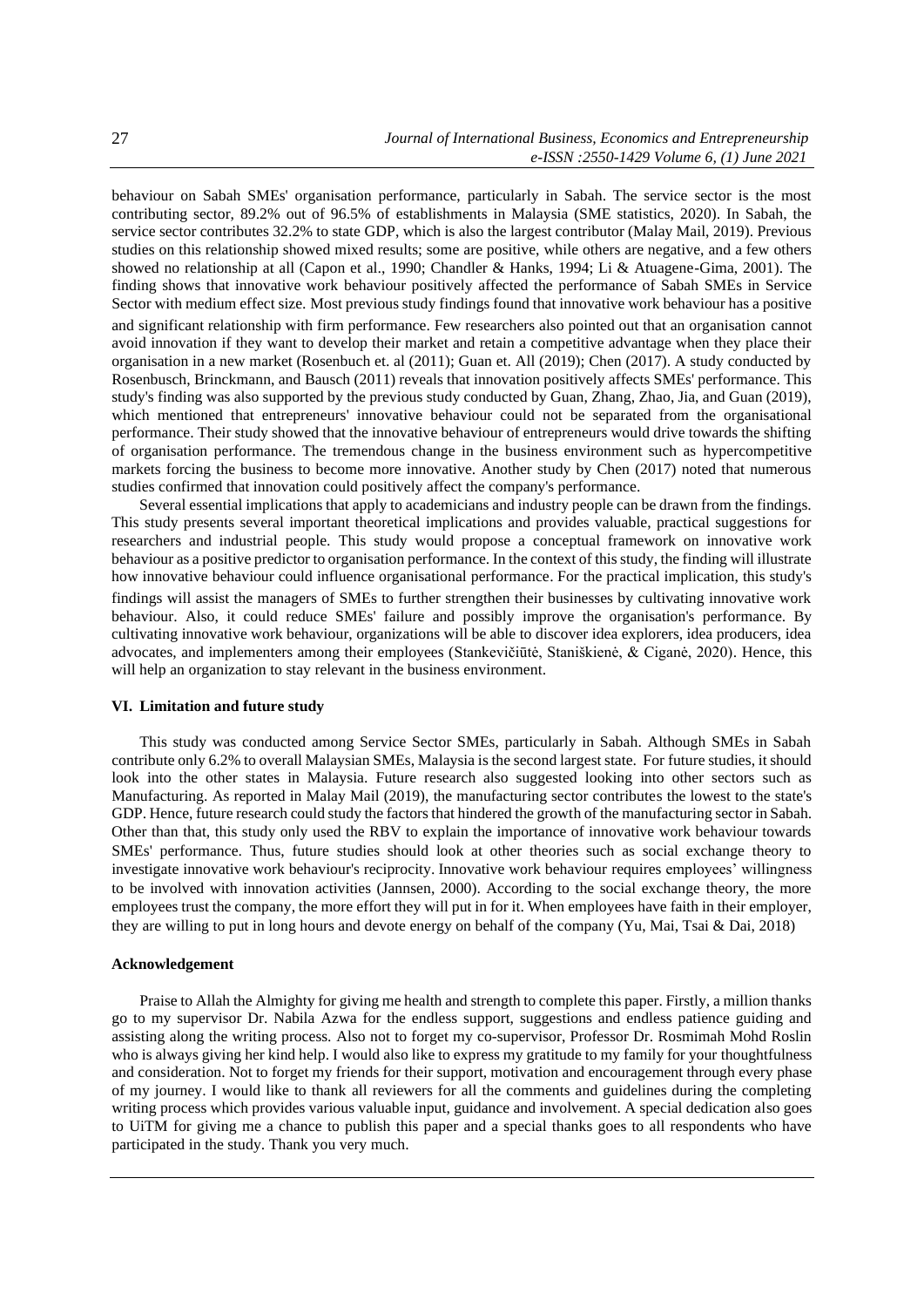behaviour on Sabah SMEs' organisation performance, particularly in Sabah. The service sector is the most contributing sector, 89.2% out of 96.5% of establishments in Malaysia (SME statistics, 2020). In Sabah, the service sector contributes 32.2% to state GDP, which is also the largest contributor (Malay Mail, 2019). Previous studies on this relationship showed mixed results; some are positive, while others are negative, and a few others showed no relationship at all (Capon et al., 1990; Chandler & Hanks, 1994; Li & Atuagene-Gima, 2001). The finding shows that innovative work behaviour positively affected the performance of Sabah SMEs in Service Sector with medium effect size. Most previous study findings found that innovative work behaviour has a positive

and significant relationship with firm performance. Few researchers also pointed out that an organisation cannot avoid innovation if they want to develop their market and retain a competitive advantage when they place their organisation in a new market (Rosenbuch et. al (2011); Guan et. All (2019); Chen (2017). A study conducted by Rosenbusch, Brinckmann, and Bausch (2011) reveals that innovation positively affects SMEs' performance. This study's finding was also supported by the previous study conducted by Guan, Zhang, Zhao, Jia, and Guan (2019), which mentioned that entrepreneurs' innovative behaviour could not be separated from the organisational performance. Their study showed that the innovative behaviour of entrepreneurs would drive towards the shifting of organisation performance. The tremendous change in the business environment such as hypercompetitive markets forcing the business to become more innovative. Another study by Chen (2017) noted that numerous studies confirmed that innovation could positively affect the company's performance.

Several essential implications that apply to academicians and industry people can be drawn from the findings. This study presents several important theoretical implications and provides valuable, practical suggestions for researchers and industrial people. This study would propose a conceptual framework on innovative work behaviour as a positive predictor to organisation performance. In the context of this study, the finding will illustrate how innovative behaviour could influence organisational performance. For the practical implication, this study's findings will assist the managers of SMEs to further strengthen their businesses by cultivating innovative work behaviour. Also, it could reduce SMEs' failure and possibly improve the organisation's performance. By cultivating innovative work behaviour, organizations will be able to discover idea explorers, idea producers, idea advocates, and implementers among their employees (Stankevičiūtė, Staniškienė, & Ciganė, 2020). Hence, this will help an organization to stay relevant in the business environment.

# **VI. Limitation and future study**

This study was conducted among Service Sector SMEs, particularly in Sabah. Although SMEs in Sabah contribute only 6.2% to overall Malaysian SMEs, Malaysia is the second largest state. For future studies, it should look into the other states in Malaysia. Future research also suggested looking into other sectors such as Manufacturing. As reported in Malay Mail (2019), the manufacturing sector contributes the lowest to the state's GDP. Hence, future research could study the factors that hindered the growth of the manufacturing sector in Sabah. Other than that, this study only used the RBV to explain the importance of innovative work behaviour towards SMEs' performance. Thus, future studies should look at other theories such as social exchange theory to investigate innovative work behaviour's reciprocity. Innovative work behaviour requires employees' willingness to be involved with innovation activities (Jannsen, 2000). According to the social exchange theory, the more employees trust the company, the more effort they will put in for it. When employees have faith in their employer, they are willing to put in long hours and devote energy on behalf of the company (Yu, Mai, Tsai & Dai, 2018)

## **Acknowledgement**

Praise to Allah the Almighty for giving me health and strength to complete this paper. Firstly, a million thanks go to my supervisor Dr. Nabila Azwa for the endless support, suggestions and endless patience guiding and assisting along the writing process. Also not to forget my co-supervisor, Professor Dr. Rosmimah Mohd Roslin who is always giving her kind help. I would also like to express my gratitude to my family for your thoughtfulness and consideration. Not to forget my friends for their support, motivation and encouragement through every phase of my journey. I would like to thank all reviewers for all the comments and guidelines during the completing writing process which provides various valuable input, guidance and involvement. A special dedication also goes to UiTM for giving me a chance to publish this paper and a special thanks goes to all respondents who have participated in the study. Thank you very much.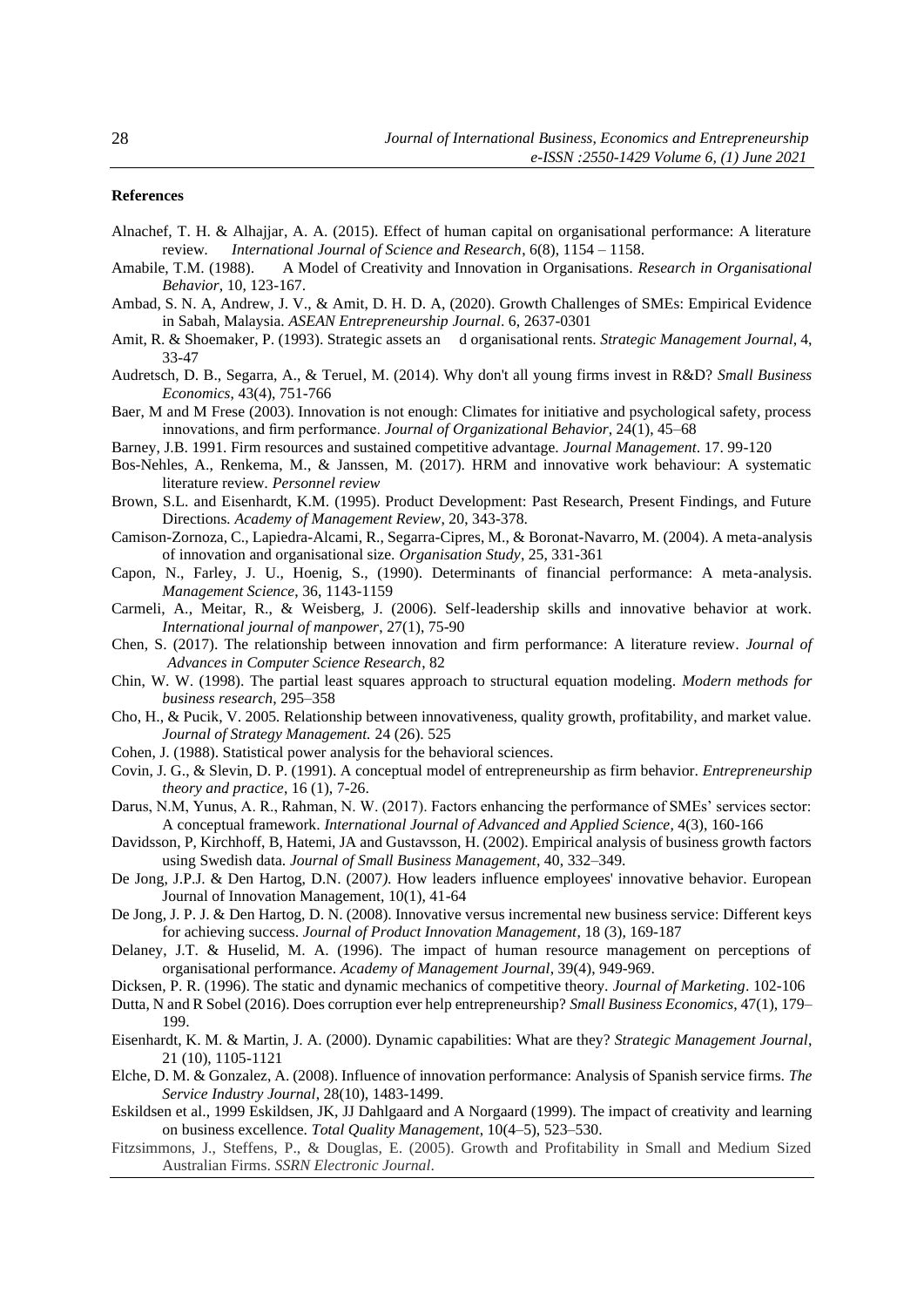#### **References**

- Alnachef, T. H. & Alhajjar, A. A. (2015). Effect of human capital on organisational performance: A literature review*. International Journal of Science and Research*, 6(8), 1154 – 1158.
- Amabile, T.M. (1988). A Model of Creativity and Innovation in Organisations*. Research in Organisational Behavior*, 10, 123-167.
- Ambad, S. N. A, Andrew, J. V., & Amit, D. H. D. A, (2020). Growth Challenges of SMEs: Empirical Evidence in Sabah, Malaysia. *ASEAN Entrepreneurship Journal*. 6, 2637-0301
- Amit, R. & Shoemaker, P. (1993). Strategic assets an d organisational rents. *Strategic Management Journal*, 4, 33-47
- Audretsch, D. B., Segarra, A., & Teruel, M. (2014). Why don't all young firms invest in R&D? *Small Business Economics*, 43(4), 751-766
- Baer, M and M Frese (2003). Innovation is not enough: Climates for initiative and psychological safety, process innovations, and firm performance. *Journal of Organizational Behavior*, 24(1), 45–68
- Barney, J.B. 1991. Firm resources and sustained competitive advantage. *Journal Management*. 17. 99-120
- Bos-Nehles, A., Renkema, M., & Janssen, M. (2017). HRM and innovative work behaviour: A systematic literature review*. Personnel review*
- Brown, S.L. and Eisenhardt, K.M. (1995). Product Development: Past Research, Present Findings, and Future Directions*. Academy of Management Review*, 20, 343-378.
- Camison-Zornoza, C., Lapiedra-Alcami, R., Segarra-Cipres, M., & Boronat-Navarro, M. (2004). A meta-analysis of innovation and organisational size. *Organisation Study*, 25, 331-361
- Capon, N., Farley, J. U., Hoenig, S., (1990). Determinants of financial performance: A meta-analysis. *Management Science*, 36, 1143-1159
- Carmeli, A., Meitar, R., & Weisberg, J. (2006). Self-leadership skills and innovative behavior at work*. International journal of manpower*, 27(1), 75-90
- Chen, S. (2017). The relationship between innovation and firm performance: A literature review*. Journal of Advances in Computer Science Research*, 82
- Chin, W. W. (1998). The partial least squares approach to structural equation modeling*. Modern methods for business research*, 295–358
- Cho, H., & Pucik, V. 2005*.* Relationship between innovativeness, quality growth, profitability, and market value. *Journal of Strategy Management.* 24 (26). 525
- Cohen, J. (1988). Statistical power analysis for the behavioral sciences*.*
- Covin, J. G., & Slevin, D. P. (1991). A conceptual model of entrepreneurship as firm behavior. *Entrepreneurship theory and practice*, 16 (1), 7-26.
- Darus, N.M, Yunus, A. R., Rahman, N. W. (2017). Factors enhancing the performance of SMEs' services sector: A conceptual framework. *International Journal of Advanced and Applied Science*, 4(3), 160-166
- Davidsson, P, Kirchhoff, B, Hatemi, JA and Gustavsson, H. (2002). Empirical analysis of business growth factors using Swedish data. *Journal of Small Business Management*, 40, 332–349.
- De Jong, J.P.J. & Den Hartog, D.N. (2007*).* How leaders influence employees' innovative behavior. European Journal of Innovation Management, 10(1), 41-64
- De Jong, J. P. J. & Den Hartog, D. N. (2008). Innovative versus incremental new business service: Different keys for achieving success. *Journal of Product Innovation Management*, 18 (3), 169-187
- Delaney, J.T. & Huselid, M. A. (1996). The impact of human resource management on perceptions of organisational performance. *Academy of Management Journal*, 39(4), 949-969.
- Dicksen, P. R. (1996). The static and dynamic mechanics of competitive theory. *Journal of Marketing*. 102-106
- Dutta, N and R Sobel (2016). Does corruption ever help entrepreneurship? *Small Business Economics*, 47(1), 179– 199.
- Eisenhardt, K. M. & Martin, J. A. (2000). Dynamic capabilities: What are they? *Strategic Management Journal*, 21 (10), 1105-1121
- Elche, D. M. & Gonzalez, A. (2008). Influence of innovation performance: Analysis of Spanish service firms. *The Service Industry Journal*, 28(10), 1483-1499.
- Eskildsen et al., 1999 Eskildsen, JK, JJ Dahlgaard and A Norgaard (1999). The impact of creativity and learning on business excellence. *Total Quality Management*, 10(4–5), 523–530.
- Fitzsimmons, J., Steffens, P., & Douglas, E. (2005). Growth and Profitability in Small and Medium Sized Australian Firms. *SSRN Electronic Journal*.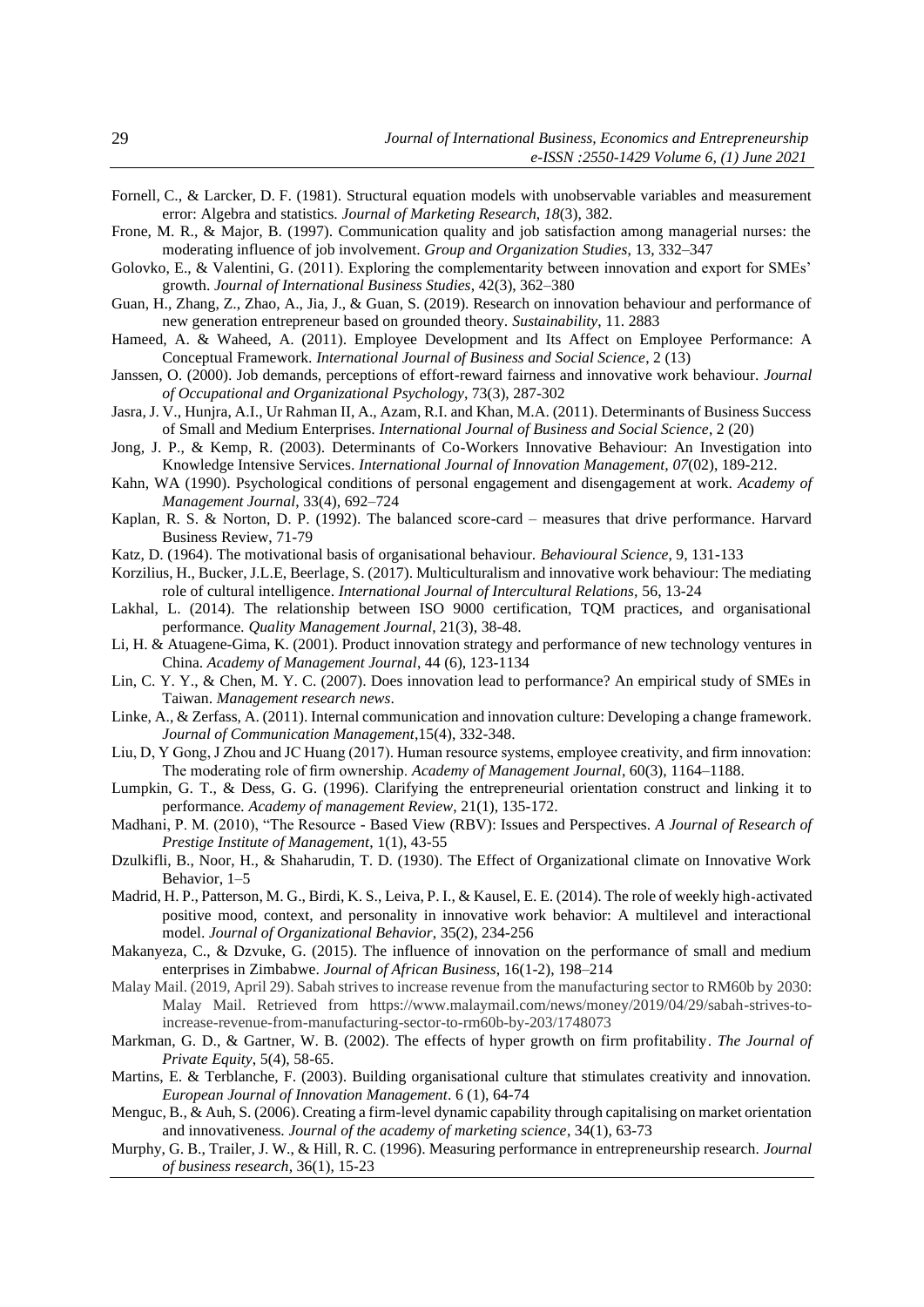- Fornell, C., & Larcker, D. F. (1981). Structural equation models with unobservable variables and measurement error: Algebra and statistics. *Journal of Marketing Research*, *18*(3), 382.
- Frone, M. R., & Major, B. (1997). Communication quality and job satisfaction among managerial nurses: the moderating influence of job involvement. *Group and Organization Studies*, 13, 332–347
- Golovko, E., & Valentini, G. (2011). Exploring the complementarity between innovation and export for SMEs' growth. *Journal of International Business Studies*, 42(3), 362–380
- Guan, H., Zhang, Z., Zhao, A., Jia, J., & Guan, S. (2019). Research on innovation behaviour and performance of new generation entrepreneur based on grounded theory. *Sustainability*, 11. 2883
- Hameed, A. & Waheed, A. (2011). Employee Development and Its Affect on Employee Performance: A Conceptual Framework. *International Journal of Business and Social Science*, 2 (13)
- Janssen, O. (2000). Job demands, perceptions of effort-reward fairness and innovative work behaviour. *Journal of Occupational and Organizational Psychology*, 73(3), 287-302
- Jasra, J. V., Hunjra, A.I., Ur Rahman II, A., Azam, R.I. and Khan, M.A. (2011). Determinants of Business Success of Small and Medium Enterprises. *International Journal of Business and Social Science*, 2 (20)
- Jong, J. P., & Kemp, R. (2003). Determinants of Co-Workers Innovative Behaviour: An Investigation into Knowledge Intensive Services. *International Journal of Innovation Management, 07*(02), 189-212.
- Kahn, WA (1990). Psychological conditions of personal engagement and disengagement at work. *Academy of Management Journal*, 33(4), 692–724
- Kaplan, R. S. & Norton, D. P. (1992). The balanced score-card measures that drive performance. Harvard Business Review, 71-79
- Katz, D. (1964). The motivational basis of organisational behaviour. *Behavioural Science*, 9, 131-133
- Korzilius, H., Bucker, J.L.E, Beerlage, S. (2017). Multiculturalism and innovative work behaviour: The mediating role of cultural intelligence. *International Journal of Intercultural Relations,* 56, 13-24
- Lakhal, L. (2014). The relationship between ISO 9000 certification, TQM practices, and organisational performance*. Quality Management Journal*, 21(3), 38-48.
- Li, H. & Atuagene-Gima, K. (2001). Product innovation strategy and performance of new technology ventures in China. *Academy of Management Journal*, 44 (6), 123-1134
- Lin, C. Y. Y., & Chen, M. Y. C. (2007). Does innovation lead to performance? An empirical study of SMEs in Taiwan. *Management research news*.
- Linke, A., & Zerfass, A. (2011). Internal communication and innovation culture: Developing a change framework. *Journal of Communication Management*,15(4), 332-348.
- Liu, D, Y Gong, J Zhou and JC Huang (2017). Human resource systems, employee creativity, and firm innovation: The moderating role of firm ownership. *Academy of Management Journal*, 60(3), 1164–1188.
- Lumpkin, G. T., & Dess, G. G. (1996). Clarifying the entrepreneurial orientation construct and linking it to performance*. Academy of management Review*, 21(1), 135-172.
- Madhani, P. M. (2010), "The Resource Based View (RBV): Issues and Perspectives. *A Journal of Research of Prestige Institute of Management*, 1(1), 43-55
- Dzulkifli, B., Noor, H., & Shaharudin, T. D. (1930). The Effect of Organizational climate on Innovative Work Behavior, 1–5
- Madrid, H. P., Patterson, M. G., Birdi, K. S., Leiva, P. I., & Kausel, E. E. (2014). The role of weekly high-activated positive mood, context, and personality in innovative work behavior: A multilevel and interactional model. *Journal of Organizational Behavior*, 35(2), 234-256
- Makanyeza, C., & Dzvuke, G. (2015). The influence of innovation on the performance of small and medium enterprises in Zimbabwe. *Journal of African Business*, 16(1-2), 198–214
- Malay Mail. (2019, April 29). Sabah strives to increase revenue from the manufacturing sector to RM60b by 2030: Malay Mail. Retrieved from https://www.malaymail.com/news/money/2019/04/29/sabah-strives-toincrease-revenue-from-manufacturing-sector-to-rm60b-by-203/1748073
- Markman, G. D., & Gartner, W. B. (2002). The effects of hyper growth on firm profitability. *The Journal of Private Equity*, 5(4), 58-65.
- Martins, E. & Terblanche, F. (2003). Building organisational culture that stimulates creativity and innovation. *European Journal of Innovation Management*. 6 (1), 64-74
- Menguc, B., & Auh, S. (2006). Creating a firm-level dynamic capability through capitalising on market orientation and innovativeness. *Journal of the academy of marketing science*, 34(1), 63-73
- Murphy, G. B., Trailer, J. W., & Hill, R. C. (1996). Measuring performance in entrepreneurship research. *Journal of business research*, 36(1), 15-23